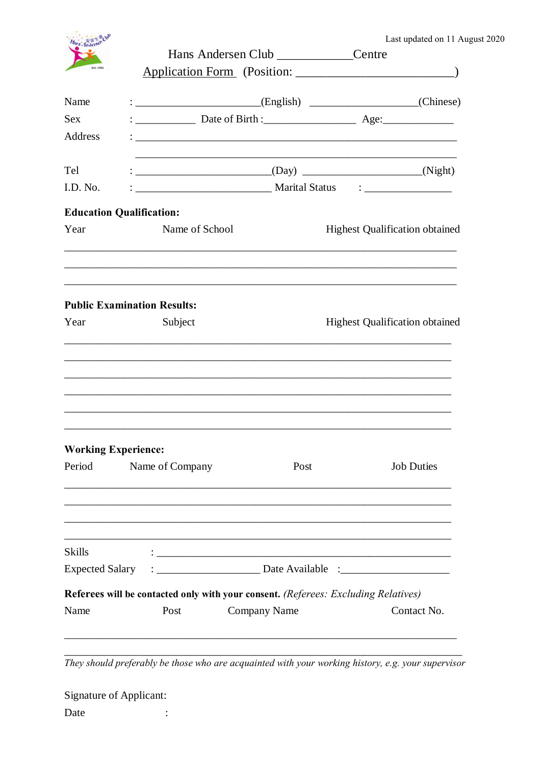| Last updated on 11 August 2020 |  |  |  |  |  |  |
|--------------------------------|--|--|--|--|--|--|
|--------------------------------|--|--|--|--|--|--|

|                                      |                                                                                                                                                                                                                                           | Hans Andersen Club ______________Centre                                                           | Last updated on 11 A                  |  |  |  |
|--------------------------------------|-------------------------------------------------------------------------------------------------------------------------------------------------------------------------------------------------------------------------------------------|---------------------------------------------------------------------------------------------------|---------------------------------------|--|--|--|
| Name                                 | : ____________________________(English) _____________________(Chinese)                                                                                                                                                                    |                                                                                                   |                                       |  |  |  |
| <b>Sex</b>                           |                                                                                                                                                                                                                                           |                                                                                                   |                                       |  |  |  |
| <b>Address</b>                       |                                                                                                                                                                                                                                           |                                                                                                   |                                       |  |  |  |
| Tel                                  |                                                                                                                                                                                                                                           | $\begin{array}{c}\n\text{---}\n\end{array}$ (Day) $\begin{array}{c}\n\text{(Night)}\n\end{array}$ |                                       |  |  |  |
| I.D. No.                             |                                                                                                                                                                                                                                           |                                                                                                   |                                       |  |  |  |
| <b>Education Qualification:</b>      |                                                                                                                                                                                                                                           |                                                                                                   |                                       |  |  |  |
| Year                                 | Name of School                                                                                                                                                                                                                            |                                                                                                   | <b>Highest Qualification obtained</b> |  |  |  |
| Year                                 | <b>Public Examination Results:</b><br>Subject                                                                                                                                                                                             |                                                                                                   | <b>Highest Qualification obtained</b> |  |  |  |
| <b>Working Experience:</b><br>Period | Name of Company                                                                                                                                                                                                                           | Post                                                                                              | <b>Job Duties</b>                     |  |  |  |
|                                      |                                                                                                                                                                                                                                           |                                                                                                   |                                       |  |  |  |
|                                      |                                                                                                                                                                                                                                           |                                                                                                   |                                       |  |  |  |
| <b>Skills</b>                        | $\mathbf{1}_{\mathcal{D}}$ . The contract of the contract of the contract of the contract of the contract of the contract of the contract of the contract of the contract of the contract of the contract of the contract of the contract |                                                                                                   |                                       |  |  |  |
| <b>Expected Salary</b>               |                                                                                                                                                                                                                                           |                                                                                                   |                                       |  |  |  |
|                                      | Referees will be contacted only with your consent. (Referees: Excluding Relatives)                                                                                                                                                        |                                                                                                   |                                       |  |  |  |

They should preferably be those who are acquainted with your working history, e.g. your supervisor

| <b>Signature of Applicant:</b> |  |
|--------------------------------|--|
| Date                           |  |